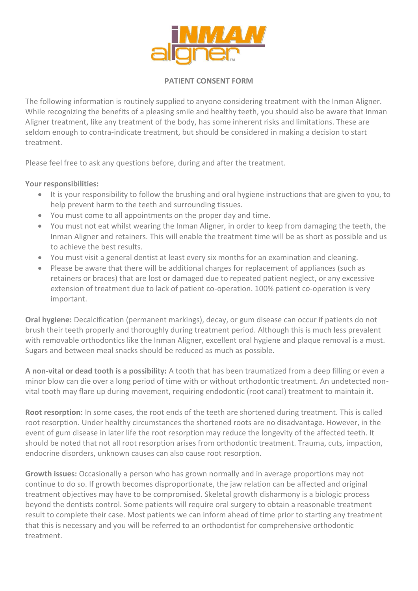

## **PATIENT CONSENT FORM**

The following information is routinely supplied to anyone considering treatment with the Inman Aligner. While recognizing the benefits of a pleasing smile and healthy teeth, you should also be aware that Inman Aligner treatment, like any treatment of the body, has some inherent risks and limitations. These are seldom enough to contra-indicate treatment, but should be considered in making a decision to start treatment.

Please feel free to ask any questions before, during and after the treatment.

## **Your responsibilities:**

- It is your responsibility to follow the brushing and oral hygiene instructions that are given to you, to help prevent harm to the teeth and surrounding tissues.
- You must come to all appointments on the proper day and time.
- You must not eat whilst wearing the Inman Aligner, in order to keep from damaging the teeth, the Inman Aligner and retainers. This will enable the treatment time will be as short as possible and us to achieve the best results.
- You must visit a general dentist at least every six months for an examination and cleaning.
- Please be aware that there will be additional charges for replacement of appliances (such as retainers or braces) that are lost or damaged due to repeated patient neglect, or any excessive extension of treatment due to lack of patient co-operation. 100% patient co-operation is very important.

**Oral hygiene:** Decalcification (permanent markings), decay, or gum disease can occur if patients do not brush their teeth properly and thoroughly during treatment period. Although this is much less prevalent with removable orthodontics like the Inman Aligner, excellent oral hygiene and plaque removal is a must. Sugars and between meal snacks should be reduced as much as possible.

**A non-vital or dead tooth is a possibility:** A tooth that has been traumatized from a deep filling or even a minor blow can die over a long period of time with or without orthodontic treatment. An undetected nonvital tooth may flare up during movement, requiring endodontic (root canal) treatment to maintain it.

**Root resorption:** In some cases, the root ends of the teeth are shortened during treatment. This is called root resorption. Under healthy circumstances the shortened roots are no disadvantage. However, in the event of gum disease in later life the root resorption may reduce the longevity of the affected teeth. It should be noted that not all root resorption arises from orthodontic treatment. Trauma, cuts, impaction, endocrine disorders, unknown causes can also cause root resorption.

**Growth issues:** Occasionally a person who has grown normally and in average proportions may not continue to do so. If growth becomes disproportionate, the jaw relation can be affected and original treatment objectives may have to be compromised. Skeletal growth disharmony is a biologic process beyond the dentists control. Some patients will require oral surgery to obtain a reasonable treatment result to complete their case. Most patients we can inform ahead of time prior to starting any treatment that this is necessary and you will be referred to an orthodontist for comprehensive orthodontic treatment.